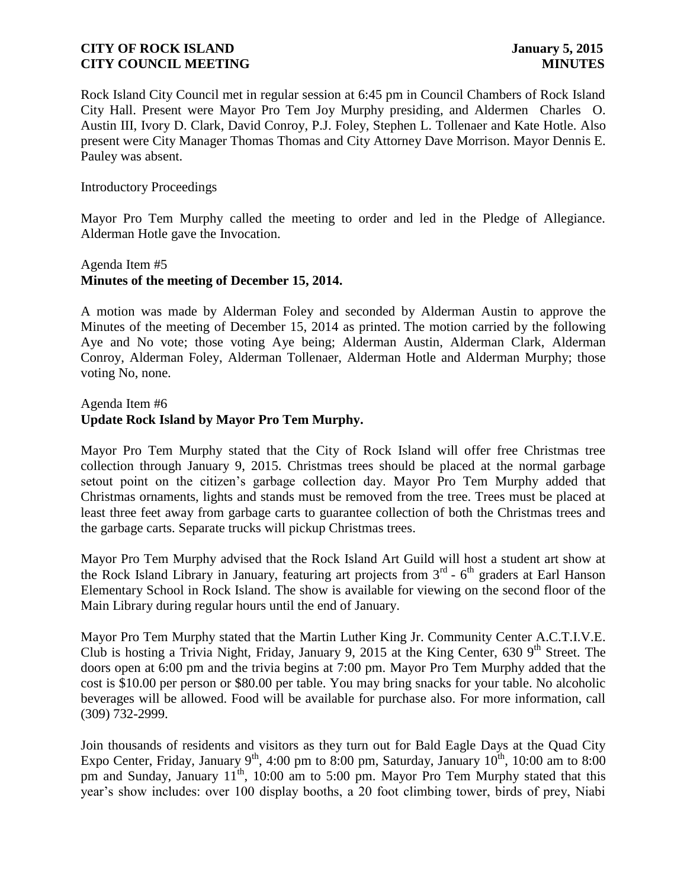Rock Island City Council met in regular session at 6:45 pm in Council Chambers of Rock Island City Hall. Present were Mayor Pro Tem Joy Murphy presiding, and Aldermen Charles O. Austin III, Ivory D. Clark, David Conroy, P.J. Foley, Stephen L. Tollenaer and Kate Hotle. Also present were City Manager Thomas Thomas and City Attorney Dave Morrison. Mayor Dennis E. Pauley was absent.

#### Introductory Proceedings

Mayor Pro Tem Murphy called the meeting to order and led in the Pledge of Allegiance. Alderman Hotle gave the Invocation.

## Agenda Item #5 **Minutes of the meeting of December 15, 2014.**

A motion was made by Alderman Foley and seconded by Alderman Austin to approve the Minutes of the meeting of December 15, 2014 as printed. The motion carried by the following Aye and No vote; those voting Aye being; Alderman Austin, Alderman Clark, Alderman Conroy, Alderman Foley, Alderman Tollenaer, Alderman Hotle and Alderman Murphy; those voting No, none.

#### Agenda Item #6 **Update Rock Island by Mayor Pro Tem Murphy.**

Mayor Pro Tem Murphy stated that the City of Rock Island will offer free Christmas tree collection through January 9, 2015. Christmas trees should be placed at the normal garbage setout point on the citizen's garbage collection day. Mayor Pro Tem Murphy added that Christmas ornaments, lights and stands must be removed from the tree. Trees must be placed at least three feet away from garbage carts to guarantee collection of both the Christmas trees and the garbage carts. Separate trucks will pickup Christmas trees.

Mayor Pro Tem Murphy advised that the Rock Island Art Guild will host a student art show at the Rock Island Library in January, featuring art projects from  $3<sup>rd</sup>$  -  $6<sup>th</sup>$  graders at Earl Hanson Elementary School in Rock Island. The show is available for viewing on the second floor of the Main Library during regular hours until the end of January.

Mayor Pro Tem Murphy stated that the Martin Luther King Jr. Community Center A.C.T.I.V.E. Club is hosting a Trivia Night, Friday, January 9, 2015 at the King Center, 630  $9<sup>th</sup>$  Street. The doors open at 6:00 pm and the trivia begins at 7:00 pm. Mayor Pro Tem Murphy added that the cost is \$10.00 per person or \$80.00 per table. You may bring snacks for your table. No alcoholic beverages will be allowed. Food will be available for purchase also. For more information, call (309) 732-2999.

Join thousands of residents and visitors as they turn out for Bald Eagle Days at the Quad City Expo Center, Friday, January 9<sup>th</sup>, 4:00 pm to 8:00 pm, Saturday, January  $10^{th}$ , 10:00 am to 8:00 pm and Sunday, January 11<sup>th</sup>, 10:00 am to 5:00 pm. Mayor Pro Tem Murphy stated that this year's show includes: over 100 display booths, a 20 foot climbing tower, birds of prey, Niabi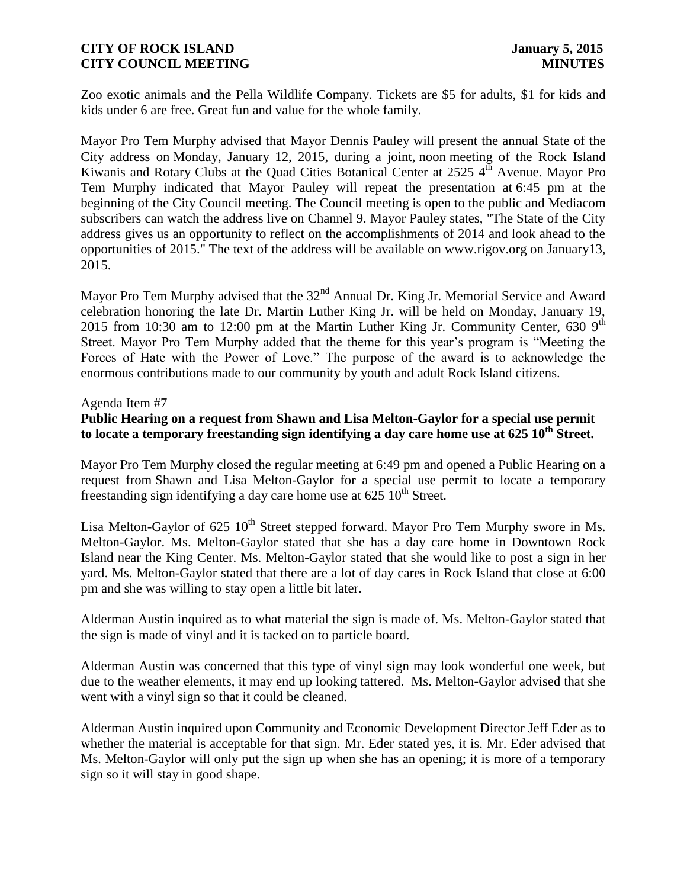Zoo exotic animals and the Pella Wildlife Company. Tickets are \$5 for adults, \$1 for kids and kids under 6 are free. Great fun and value for the whole family.

Mayor Pro Tem Murphy advised that Mayor Dennis Pauley will present the annual State of the City address on Monday, January 12, 2015, during a joint, noon meeting of the Rock Island Kiwanis and Rotary Clubs at the Quad Cities Botanical Center at  $2525\,4^{\text{th}}$  Avenue. Mayor Pro Tem Murphy indicated that Mayor Pauley will repeat the presentation at 6:45 pm at the beginning of the City Council meeting. The Council meeting is open to the public and Mediacom subscribers can watch the address live on Channel 9. Mayor Pauley states, "The State of the City address gives us an opportunity to reflect on the accomplishments of 2014 and look ahead to the opportunities of 2015." The text of the address will be available on www.rigov.org on January13, 2015.

Mayor Pro Tem Murphy advised that the 32<sup>nd</sup> Annual Dr. King Jr. Memorial Service and Award celebration honoring the late Dr. Martin Luther King Jr. will be held on Monday, January 19, 2015 from 10:30 am to 12:00 pm at the Martin Luther King Jr. Community Center, 630  $9<sup>th</sup>$ Street. Mayor Pro Tem Murphy added that the theme for this year's program is "Meeting the Forces of Hate with the Power of Love." The purpose of the award is to acknowledge the enormous contributions made to our community by youth and adult Rock Island citizens.

#### Agenda Item #7

## **Public Hearing on a request from Shawn and Lisa Melton-Gaylor for a special use permit to locate a temporary freestanding sign identifying a day care home use at 625 10th Street.**

Mayor Pro Tem Murphy closed the regular meeting at 6:49 pm and opened a Public Hearing on a request from Shawn and Lisa Melton-Gaylor for a special use permit to locate a temporary freestanding sign identifying a day care home use at  $625 \times 10^{th}$  Street.

Lisa Melton-Gaylor of  $625 \times 10^{th}$  Street stepped forward. Mayor Pro Tem Murphy swore in Ms. Melton-Gaylor. Ms. Melton-Gaylor stated that she has a day care home in Downtown Rock Island near the King Center. Ms. Melton-Gaylor stated that she would like to post a sign in her yard. Ms. Melton-Gaylor stated that there are a lot of day cares in Rock Island that close at 6:00 pm and she was willing to stay open a little bit later.

Alderman Austin inquired as to what material the sign is made of. Ms. Melton-Gaylor stated that the sign is made of vinyl and it is tacked on to particle board.

Alderman Austin was concerned that this type of vinyl sign may look wonderful one week, but due to the weather elements, it may end up looking tattered. Ms. Melton-Gaylor advised that she went with a vinyl sign so that it could be cleaned.

Alderman Austin inquired upon Community and Economic Development Director Jeff Eder as to whether the material is acceptable for that sign. Mr. Eder stated yes, it is. Mr. Eder advised that Ms. Melton-Gaylor will only put the sign up when she has an opening; it is more of a temporary sign so it will stay in good shape.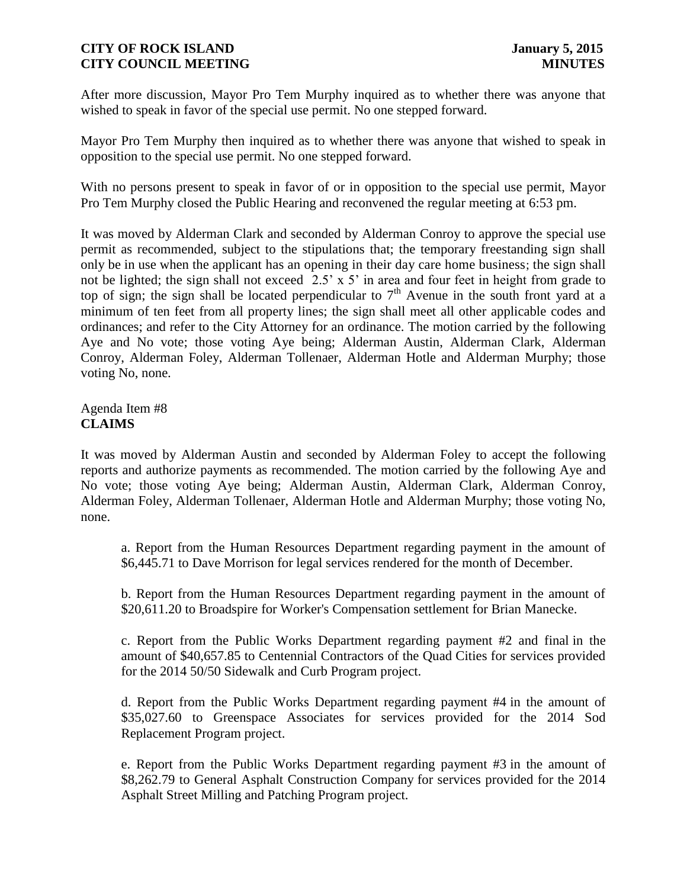After more discussion, Mayor Pro Tem Murphy inquired as to whether there was anyone that wished to speak in favor of the special use permit. No one stepped forward.

Mayor Pro Tem Murphy then inquired as to whether there was anyone that wished to speak in opposition to the special use permit. No one stepped forward.

With no persons present to speak in favor of or in opposition to the special use permit, Mayor Pro Tem Murphy closed the Public Hearing and reconvened the regular meeting at 6:53 pm.

It was moved by Alderman Clark and seconded by Alderman Conroy to approve the special use permit as recommended, subject to the stipulations that; the temporary freestanding sign shall only be in use when the applicant has an opening in their day care home business; the sign shall not be lighted; the sign shall not exceed 2.5' x 5' in area and four feet in height from grade to top of sign; the sign shall be located perpendicular to  $7<sup>th</sup>$  Avenue in the south front yard at a minimum of ten feet from all property lines; the sign shall meet all other applicable codes and ordinances; and refer to the City Attorney for an ordinance. The motion carried by the following Aye and No vote; those voting Aye being; Alderman Austin, Alderman Clark, Alderman Conroy, Alderman Foley, Alderman Tollenaer, Alderman Hotle and Alderman Murphy; those voting No, none.

Agenda Item #8 **CLAIMS**

It was moved by Alderman Austin and seconded by Alderman Foley to accept the following reports and authorize payments as recommended. The motion carried by the following Aye and No vote; those voting Aye being; Alderman Austin, Alderman Clark, Alderman Conroy, Alderman Foley, Alderman Tollenaer, Alderman Hotle and Alderman Murphy; those voting No, none.

a. Report from the Human Resources Department regarding payment in the amount of \$6,445.71 to Dave Morrison for legal services rendered for the month of December.

b. Report from the Human Resources Department regarding payment in the amount of \$20,611.20 to Broadspire for Worker's Compensation settlement for Brian Manecke.

c. Report from the Public Works Department regarding payment #2 and final in the amount of \$40,657.85 to Centennial Contractors of the Quad Cities for services provided for the 2014 50/50 Sidewalk and Curb Program project.

d. Report from the Public Works Department regarding payment #4 in the amount of \$35,027.60 to Greenspace Associates for services provided for the 2014 Sod Replacement Program project.

e. Report from the Public Works Department regarding payment #3 in the amount of \$8,262.79 to General Asphalt Construction Company for services provided for the 2014 Asphalt Street Milling and Patching Program project.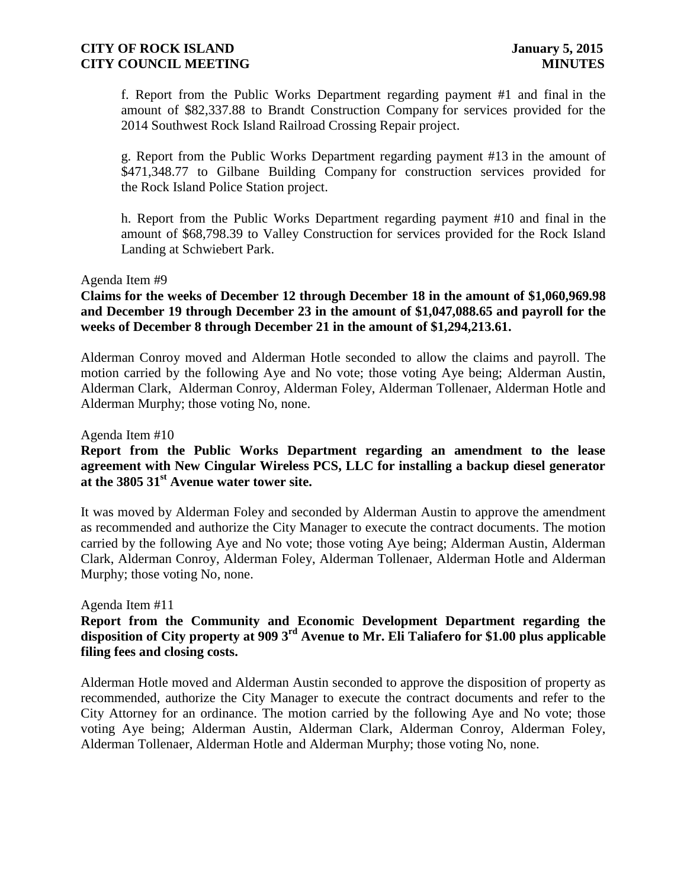f. Report from the Public Works Department regarding payment #1 and final in the amount of \$82,337.88 to Brandt Construction Company for services provided for the 2014 Southwest Rock Island Railroad Crossing Repair project.

g. Report from the Public Works Department regarding payment #13 in the amount of \$471,348.77 to Gilbane Building Company for construction services provided for the Rock Island Police Station project.

h. Report from the Public Works Department regarding payment #10 and final in the amount of \$68,798.39 to Valley Construction for services provided for the Rock Island Landing at Schwiebert Park.

#### Agenda Item #9

## **Claims for the weeks of December 12 through December 18 in the amount of \$1,060,969.98 and December 19 through December 23 in the amount of \$1,047,088.65 and payroll for the weeks of December 8 through December 21 in the amount of \$1,294,213.61.**

Alderman Conroy moved and Alderman Hotle seconded to allow the claims and payroll. The motion carried by the following Aye and No vote; those voting Aye being; Alderman Austin, Alderman Clark, Alderman Conroy, Alderman Foley, Alderman Tollenaer, Alderman Hotle and Alderman Murphy; those voting No, none.

#### Agenda Item #10

## **Report from the Public Works Department regarding an amendment to the lease agreement with New Cingular Wireless PCS, LLC for installing a backup diesel generator at the 3805 31st Avenue water tower site.**

It was moved by Alderman Foley and seconded by Alderman Austin to approve the amendment as recommended and authorize the City Manager to execute the contract documents. The motion carried by the following Aye and No vote; those voting Aye being; Alderman Austin, Alderman Clark, Alderman Conroy, Alderman Foley, Alderman Tollenaer, Alderman Hotle and Alderman Murphy; those voting No, none.

#### Agenda Item #11

# **Report from the Community and Economic Development Department regarding the disposition of City property at 909 3rd Avenue to Mr. Eli Taliafero for \$1.00 plus applicable filing fees and closing costs.**

Alderman Hotle moved and Alderman Austin seconded to approve the disposition of property as recommended, authorize the City Manager to execute the contract documents and refer to the City Attorney for an ordinance. The motion carried by the following Aye and No vote; those voting Aye being; Alderman Austin, Alderman Clark, Alderman Conroy, Alderman Foley, Alderman Tollenaer, Alderman Hotle and Alderman Murphy; those voting No, none.